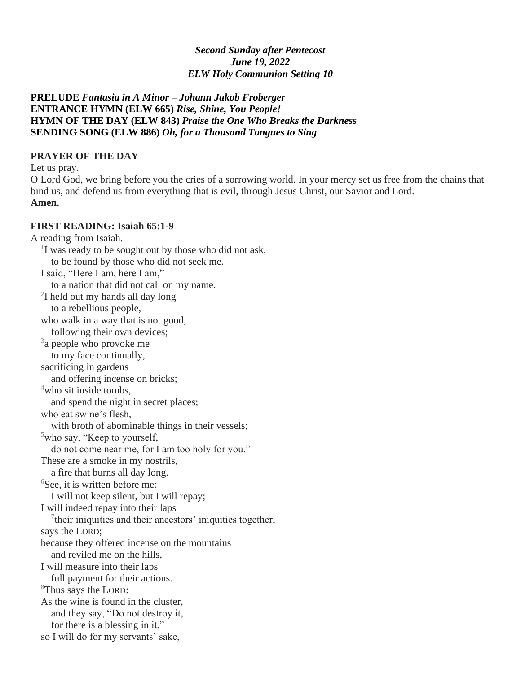#### *Second Sunday after Pentecost June 19, 2022 ELW Holy Communion Setting 10*

**PRELUDE** *Fantasia in A Minor – Johann Jakob Froberger* **ENTRANCE HYMN (ELW 665)** *Rise, Shine, You People!* **HYMN OF THE DAY (ELW 843)** *Praise the One Who Breaks the Darkness* **SENDING SONG (ELW 886)** *Oh, for a Thousand Tongues to Sing*

#### **PRAYER OF THE DAY**

Let us pray.

O Lord God, we bring before you the cries of a sorrowing world. In your mercy set us free from the chains that bind us, and defend us from everything that is evil, through Jesus Christ, our Savior and Lord. **Amen.**

#### **FIRST READING: Isaiah 65:1-9**

A reading from Isaiah. <sup>1</sup>I was ready to be sought out by those who did not ask, to be found by those who did not seek me. I said, "Here I am, here I am," to a nation that did not call on my name.  $2I$  held out my hands all day long to a rebellious people, who walk in a way that is not good, following their own devices; <sup>3</sup>a people who provoke me to my face continually, sacrificing in gardens and offering incense on bricks;  $4$ who sit inside tombs, and spend the night in secret places; who eat swine's flesh, with broth of abominable things in their vessels;  $5$ who say, "Keep to yourself, do not come near me, for I am too holy for you." These are a smoke in my nostrils, a fire that burns all day long.  ${}^{6}$ See, it is written before me: I will not keep silent, but I will repay; I will indeed repay into their laps  $7$ their iniquities and their ancestors' iniquities together, says the LORD; because they offered incense on the mountains and reviled me on the hills, I will measure into their laps full payment for their actions. <sup>8</sup>Thus says the LORD: As the wine is found in the cluster, and they say, "Do not destroy it, for there is a blessing in it," so I will do for my servants' sake,